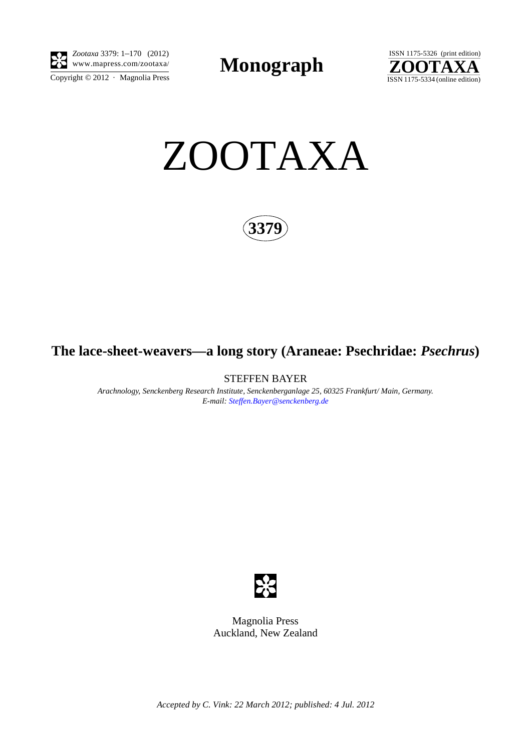

 $\overline{\text{Copyright} \odot 2012}$  · Magnolia Press *Zootaxa* 3379: 1–170 (2012)

**Monograph** 



ZOOTAXA

**3379**

# **The lace-sheet-weavers—a long story (Araneae: Psechridae:** *Psechrus***)**

STEFFEN BAYER

*Arachnology, Senckenberg Research Institute, Senckenberganlage 25, 60325 Frankfurt/ Main, Germany. E-mail: Steffen.Bayer@senckenberg.de*



Magnolia Press Auckland, New Zealand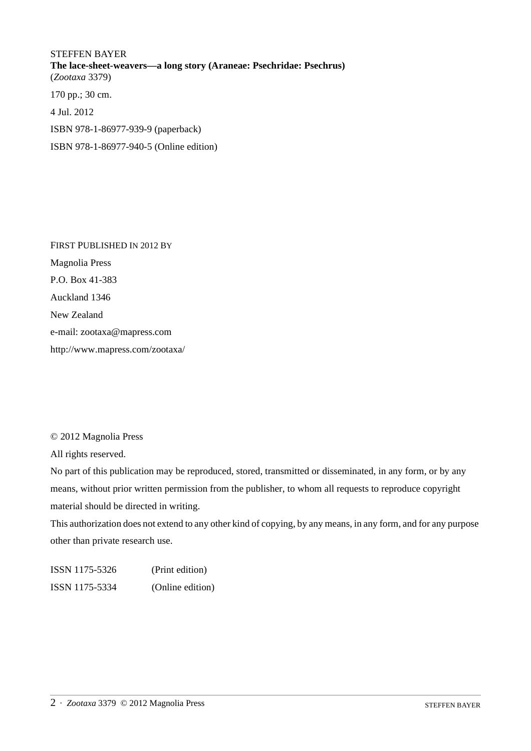# STEFFEN BAYER **The lace-sheet-weavers—a long story (Araneae: Psechridae: Psechrus)** (*Zootaxa* 3379) 170 pp.; 30 cm. 4 Jul. 2012 ISBN 978-1-86977-939-9 (paperback)

ISBN 978-1-86977-940-5 (Online edition)

FIRST PUBLISHED IN 2012 BY Magnolia Press P.O. Box 41-383 Auckland 1346 New Zealand e-mail: zootaxa@mapress.com http://www.mapress.com/zootaxa/

## © 2012 Magnolia Press

All rights reserved.

No part of this publication may be reproduced, stored, transmitted or disseminated, in any form, or by any means, without prior written permission from the publisher, to whom all requests to reproduce copyright material should be directed in writing.

This authorization does not extend to any other kind of copying, by any means, in any form, and for any purpose other than private research use.

ISSN 1175-5326 (Print edition) ISSN 1175-5334 (Online edition)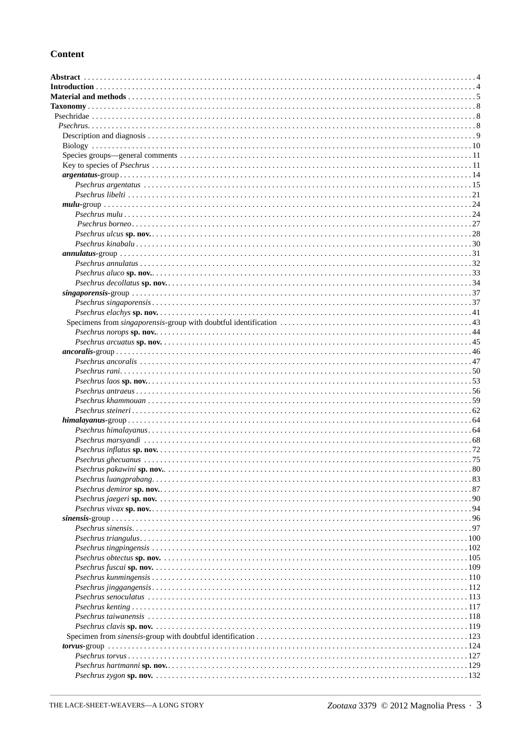# **Content**

| Psechrus pakawini sp. nov<br>80 |
|---------------------------------|
|                                 |
|                                 |
|                                 |
|                                 |
|                                 |
|                                 |
|                                 |
|                                 |
|                                 |
|                                 |
|                                 |
|                                 |
|                                 |
|                                 |
|                                 |
|                                 |
|                                 |
|                                 |
|                                 |
|                                 |
|                                 |